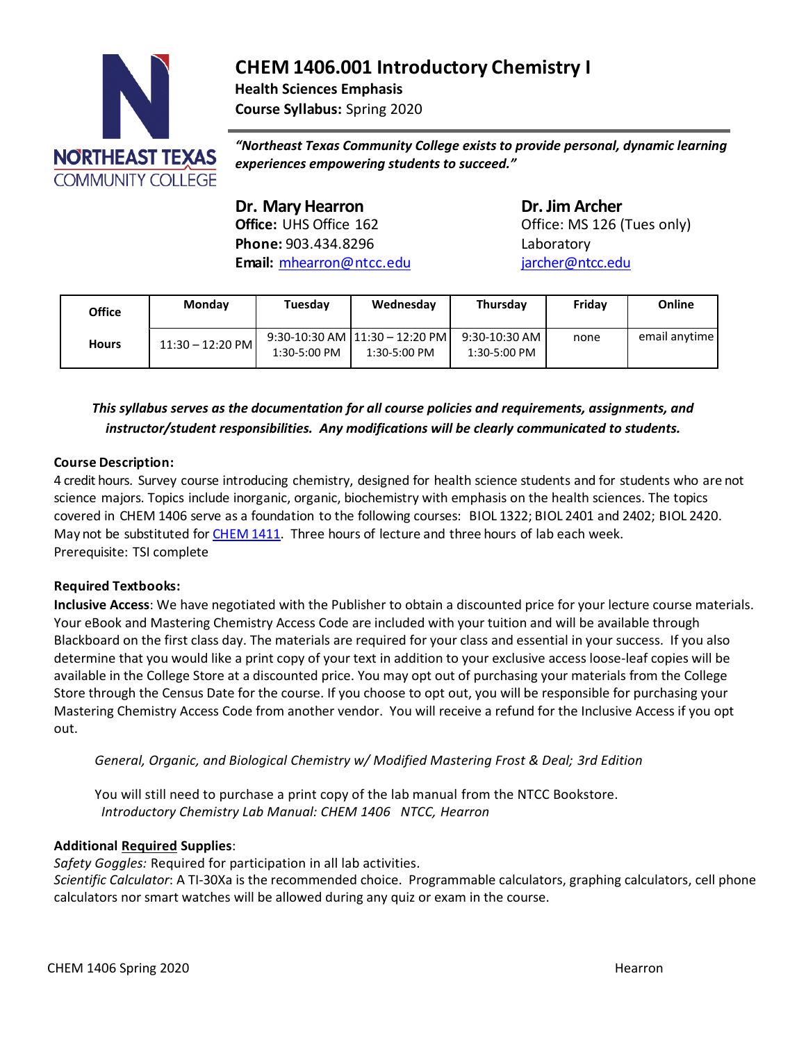

**CHEM 1406.001 Introductory Chemistry I Health Sciences Emphasis Course Syllabus:** Spring 2020

*"Northeast Texas Community College exists to provide personal, dynamic learning experiences empowering students to succeed."*

**Dr. Mary Hearron Dr. Jim Archer**<br> **Office:** UHS Office 162 **Dr. Jim Archer Phone:** 903.434.8296 Laboratory **Email:** [mhearron@ntcc.edu](mailto:mhearron@ntcc.edu) [jarcher@ntcc.edu](mailto:jarcher@ntcc.edu)

Office: MS 126 (Tues only)

| Office       | Monday             | Tuesday        | Wednesday                                        | Thursday                        | Fridav | Online        |
|--------------|--------------------|----------------|--------------------------------------------------|---------------------------------|--------|---------------|
| <b>Hours</b> | $11:30 - 12:20$ PM | $1:30-5:00$ PM | $9:30-10:30$ AM $11:30-12:20$ PM<br>1:30-5:00 PM | $9:30-10:30$ AM<br>1:30-5:00 PM | none   | email anytime |

# *This syllabus serves as the documentation for all course policies and requirements, assignments, and instructor/student responsibilities. Any modifications will be clearly communicated to students.*

### **Course Description:**

4 credit hours. Survey course introducing chemistry, designed for health science students and for students who are not science majors. Topics include inorganic, organic, biochemistry with emphasis on the health sciences. The topics covered in CHEM 1406 serve as a foundation to the following courses: BIOL 1322; BIOL 2401 and 2402; BIOL 2420. May not be substituted for [CHEM](http://catalog.ntcc.edu/content.php?filter%5B27%5D=CHEM&filter%5B29%5D&filter%5Bcourse_type%5D=-1&filter%5Bkeyword%5D&filter%5B32%5D=1&filter%5Bcpage%5D=1&cur_cat_oid=3&expand&navoid=752&search_database=Filter&tt5818) 1411. Three hours of lecture and three hours of lab each week. Prerequisite: TSI complete

#### **Required Textbooks:**

**Inclusive Access**: We have negotiated with the Publisher to obtain a discounted price for your lecture course materials. Your eBook and Mastering Chemistry Access Code are included with your tuition and will be available through Blackboard on the first class day. The materials are required for your class and essential in your success. If you also determine that you would like a print copy of your text in addition to your exclusive access loose-leaf copies will be available in the College Store at a discounted price. You may opt out of purchasing your materials from the College Store through the Census Date for the course. If you choose to opt out, you will be responsible for purchasing your Mastering Chemistry Access Code from another vendor. You will receive a refund for the Inclusive Access if you opt out.

*General, Organic, and Biological Chemistry w/ Modified Mastering Frost & Deal; 3rd Edition*

You will still need to purchase a print copy of the lab manual from the NTCC Bookstore. *Introductory Chemistry Lab Manual: CHEM 1406 NTCC, Hearron*

### **Additional Required Supplies**:

*Safety Goggles:* Required for participation in all lab activities*.*

*Scientific Calculator*: A TI-30Xa is the recommended choice. Programmable calculators, graphing calculators, cell phone calculators nor smart watches will be allowed during any quiz or exam in the course.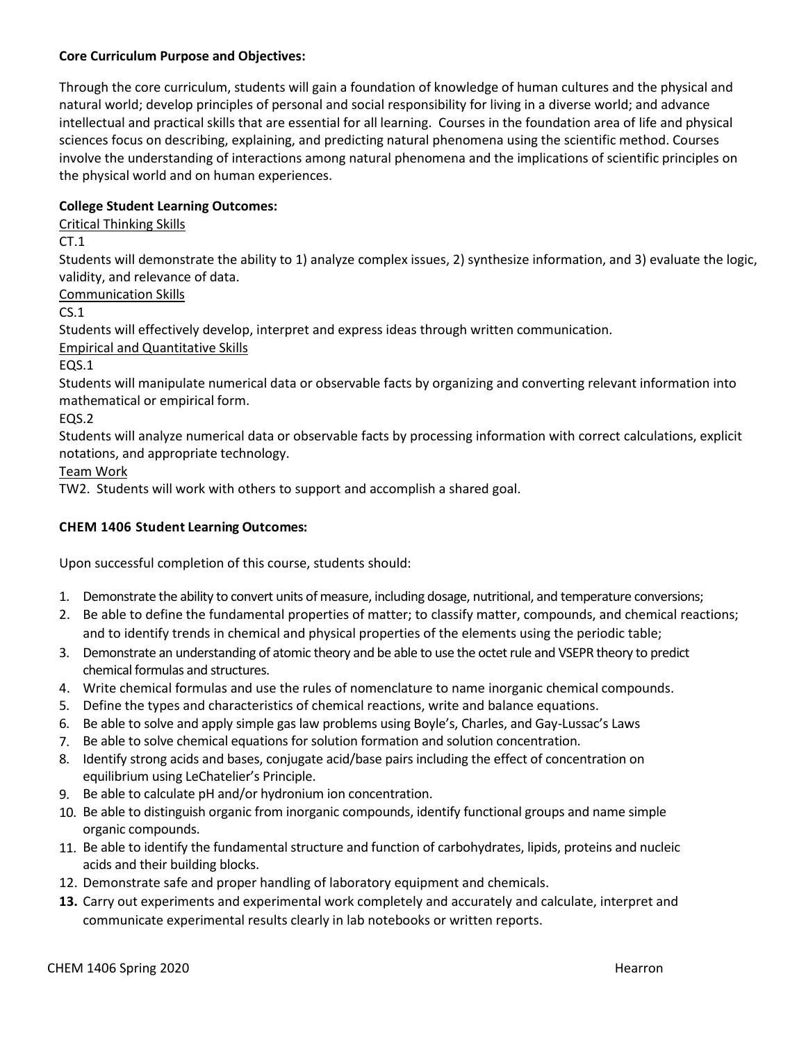### **Core Curriculum Purpose and Objectives:**

Through the core curriculum, students will gain a foundation of knowledge of human cultures and the physical and natural world; develop principles of personal and social responsibility for living in a diverse world; and advance intellectual and practical skills that are essential for all learning. Courses in the foundation area of life and physical sciences focus on describing, explaining, and predicting natural phenomena using the scientific method. Courses involve the understanding of interactions among natural phenomena and the implications of scientific principles on the physical world and on human experiences.

## **College Student Learning Outcomes:**

Critical Thinking Skills

 $CT.1$ 

Students will demonstrate the ability to 1) analyze complex issues, 2) synthesize information, and 3) evaluate the logic, validity, and relevance of data.

Communication Skills

 $CS.1$ 

Students will effectively develop, interpret and express ideas through written communication.

Empirical and Quantitative Skills

EQS.1

Students will manipulate numerical data or observable facts by organizing and converting relevant information into mathematical or empirical form.

EQS.2

Students will analyze numerical data or observable facts by processing information with correct calculations, explicit notations, and appropriate technology.

Team Work

TW2. Students will work with others to support and accomplish a shared goal.

### **CHEM 1406 Student Learning Outcomes:**

Upon successful completion of this course, students should:

- 1. Demonstrate the ability to convert units of measure, including dosage, nutritional, and temperature conversions;
- 2. Be able to define the fundamental properties of matter; to classify matter, compounds, and chemical reactions; and to identify trends in chemical and physical properties of the elements using the periodic table;
- 3. Demonstrate an understanding of atomic theory and be able to use the octet rule and VSEPR theory to predict chemical formulas and structures.
- 4. Write chemical formulas and use the rules of nomenclature to name inorganic chemical compounds.
- 5. Define the types and characteristics of chemical reactions, write and balance equations.
- 6. Be able to solve and apply simple gas law problems using Boyle's, Charles, and Gay-Lussac's Laws
- 7. Be able to solve chemical equations for solution formation and solution concentration.
- 8. Identify strong acids and bases, conjugate acid/base pairs including the effect of concentration on equilibrium using LeChatelier's Principle.
- 9. Be able to calculate pH and/or hydronium ion concentration.
- 10. Be able to distinguish organic from inorganic compounds, identify functional groups and name simple organic compounds.
- 11. Be able to identify the fundamental structure and function of carbohydrates, lipids, proteins and nucleic acids and their building blocks.
- 12. Demonstrate safe and proper handling of laboratory equipment and chemicals.
- **13.** Carry out experiments and experimental work completely and accurately and calculate, interpret and communicate experimental results clearly in lab notebooks or written reports.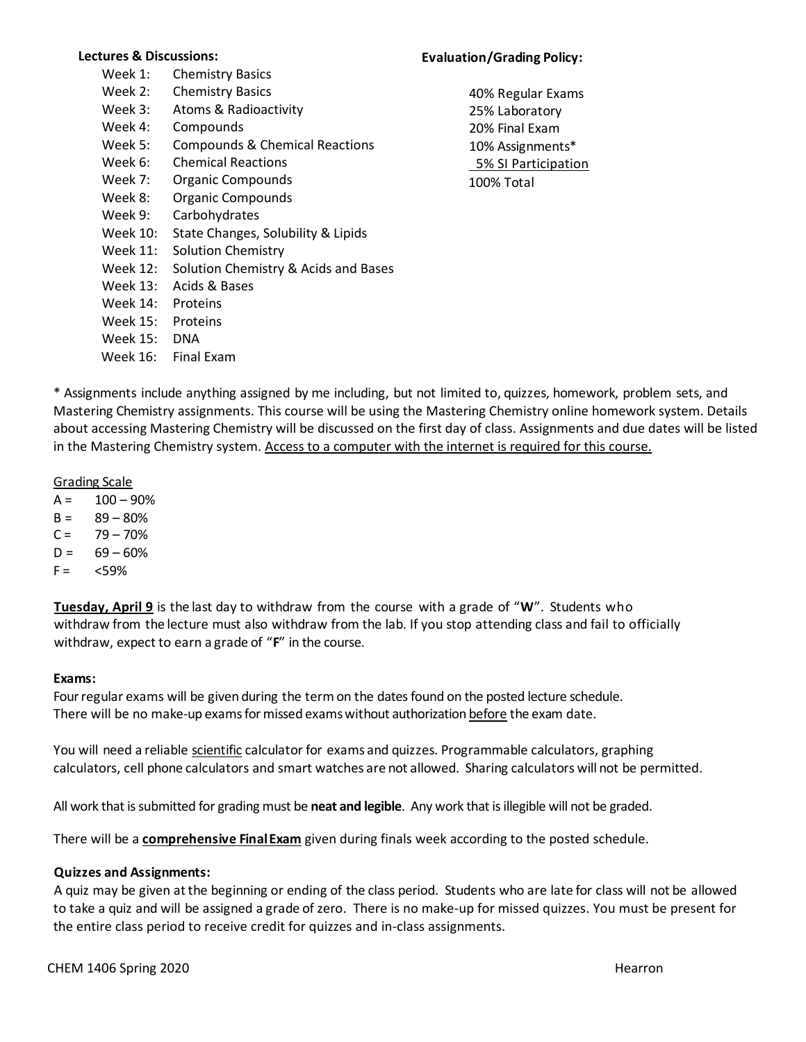#### **Lectures & Discussions:**

| Week 1:  | <b>Chemistry Basics</b>              |
|----------|--------------------------------------|
| Week 2:  | <b>Chemistry Basics</b>              |
| Week 3:  | Atoms & Radioactivity                |
| Week 4:  | Compounds                            |
| Week 5:  | Compounds & Chemical Reactions       |
| Week 6:  | <b>Chemical Reactions</b>            |
| Week 7:  | Organic Compounds                    |
| Week 8:  | Organic Compounds                    |
| Week 9:  | Carbohydrates                        |
| Week 10: | State Changes, Solubility & Lipids   |
| Week 11: | <b>Solution Chemistry</b>            |
| Week 12: | Solution Chemistry & Acids and Bases |
| Week 13: | Acids & Bases                        |
| Week 14: | Proteins                             |
| Week 15: | Proteins                             |
| Week 15: | <b>DNA</b>                           |
| Week 16: | <b>Final Fxam</b>                    |
|          |                                      |

### **Evaluation/Grading Policy:**

40% Regular Exams 25% Laboratory 20% Final Exam 10% Assignments\* 5% SI Participation 100% Total

\* Assignments include anything assigned by me including, but not limited to, quizzes, homework, problem sets, and Mastering Chemistry assignments. This course will be using the Mastering Chemistry online homework system. Details about accessing Mastering Chemistry will be discussed on the first day of class. Assignments and due dates will be listed in the Mastering Chemistry system. Access to a computer with the internet is required for this course.

Grading Scale

 $A = 100 - 90%$ 

- $B = 89 80%$
- $C = 79 70%$
- $D = 69 60%$
- $F = \frac{59\%}{40}$

**Tuesday, April 9** is the last day to withdraw from the course with a grade of "**W**". Students who withdraw from the lecture must also withdraw from the lab. If you stop attending class and fail to officially withdraw, expect to earn a grade of "**F**" in the course.

#### **Exams:**

Four regular exams will be given during the term on the dates found on the posted lecture schedule. There will be no make-up exams for missed exams without authorization before the exam date.

You will need a reliable scientific calculator for exams and quizzes. Programmable calculators, graphing calculators, cell phone calculators and smart watches are not allowed. Sharing calculators will not be permitted.

All work that is submitted for grading must be **neat and legible**. Any work that is illegible will not be graded.

There will be a **comprehensive FinalExam** given during finals week according to the posted schedule.

#### **Quizzes and Assignments:**

A quiz may be given at the beginning or ending of the class period. Students who are late for class will not be allowed to take a quiz and will be assigned a grade of zero. There is no make-up for missed quizzes. You must be present for the entire class period to receive credit for quizzes and in-class assignments.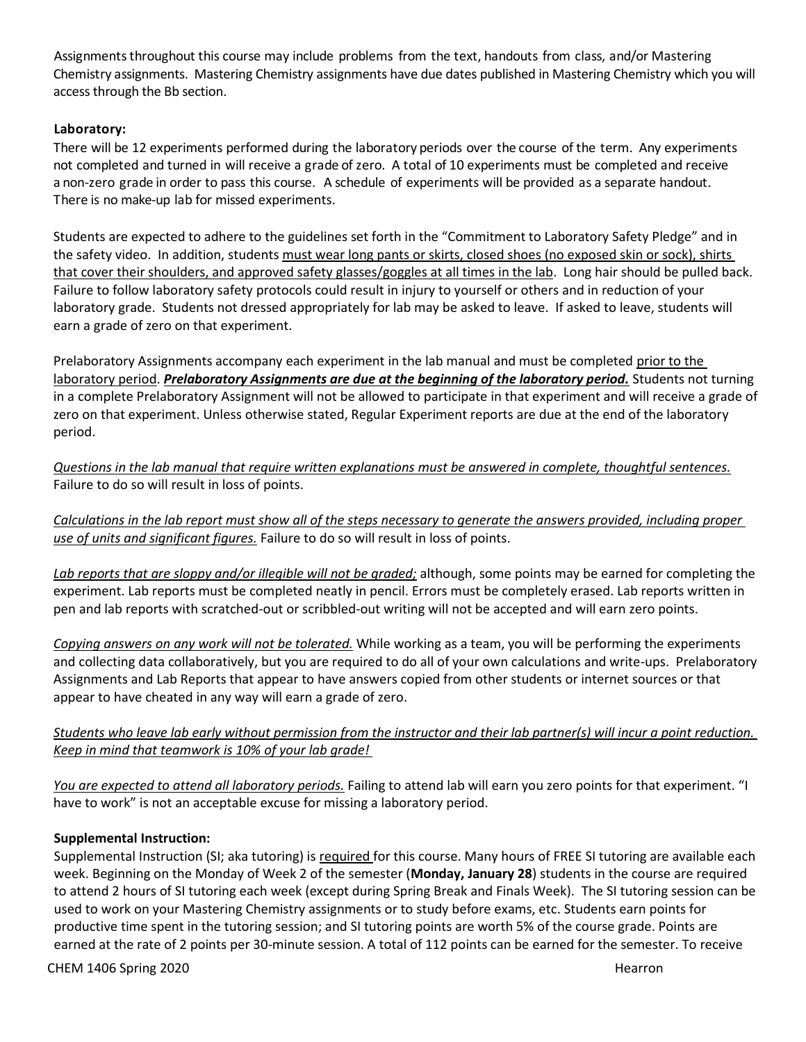Assignments throughout this course may include problems from the text, handouts from class, and/or Mastering Chemistry assignments. Mastering Chemistry assignments have due dates published in Mastering Chemistry which you will access through the Bb section.

## **Laboratory:**

There will be 12 experiments performed during the laboratory periods over the course of the term. Any experiments not completed and turned in will receive a grade of zero. A total of 10 experiments must be completed and receive a non-zero grade in order to pass this course. A schedule of experiments will be provided as a separate handout. There is no make-up lab for missed experiments.

Students are expected to adhere to the guidelines set forth in the "Commitment to Laboratory Safety Pledge" and in the safety video. In addition, students must wear long pants or skirts, closed shoes (no exposed skin or sock), shirts that cover their shoulders, and approved safety glasses/goggles at all times in the lab. Long hair should be pulled back. Failure to follow laboratory safety protocols could result in injury to yourself or others and in reduction of your laboratory grade. Students not dressed appropriately for lab may be asked to leave. If asked to leave, students will earn a grade of zero on that experiment.

Prelaboratory Assignments accompany each experiment in the lab manual and must be completed prior to the laboratory period. *Prelaboratory Assignments are due at the beginning of the laboratory period.* Students not turning in a complete Prelaboratory Assignment will not be allowed to participate in that experiment and will receive a grade of zero on that experiment. Unless otherwise stated, Regular Experiment reports are due at the end of the laboratory period.

*Questions in the lab manual that require written explanations must be answered in complete, thoughtful sentences.* Failure to do so will result in loss of points.

*Calculations in the lab report must show all of the steps necessary to generate the answers provided, including proper use of units and significant figures.* Failure to do so will result in loss of points.

*Lab reports that are sloppy and/or illegible will not be graded;* although, some points may be earned for completing the experiment. Lab reports must be completed neatly in pencil. Errors must be completely erased. Lab reports written in pen and lab reports with scratched-out or scribbled-out writing will not be accepted and will earn zero points.

*Copying answers on any work will not be tolerated.* While working as a team, you will be performing the experiments and collecting data collaboratively, but you are required to do all of your own calculations and write-ups. Prelaboratory Assignments and Lab Reports that appear to have answers copied from other students or internet sources or that appear to have cheated in any way will earn a grade of zero.

## Students who leave lab early without permission from the instructor and their lab partner(s) will incur a point reduction. *Keep in mind that teamwork is 10% of your lab grade!*

*You are expected to attend all laboratory periods.* Failing to attend lab will earn you zero points for that experiment. "I have to work" is not an acceptable excuse for missing a laboratory period.

## **Supplemental Instruction:**

Supplemental Instruction (SI; aka tutoring) is required for this course. Many hours of FREE SI tutoring are available each week. Beginning on the Monday of Week 2 of the semester (**Monday, January 28**) students in the course are required to attend 2 hours of SI tutoring each week (except during Spring Break and Finals Week). The SI tutoring session can be used to work on your Mastering Chemistry assignments or to study before exams, etc. Students earn points for productive time spent in the tutoring session; and SI tutoring points are worth 5% of the course grade. Points are earned at the rate of 2 points per 30-minute session. A total of 112 points can be earned for the semester. To receive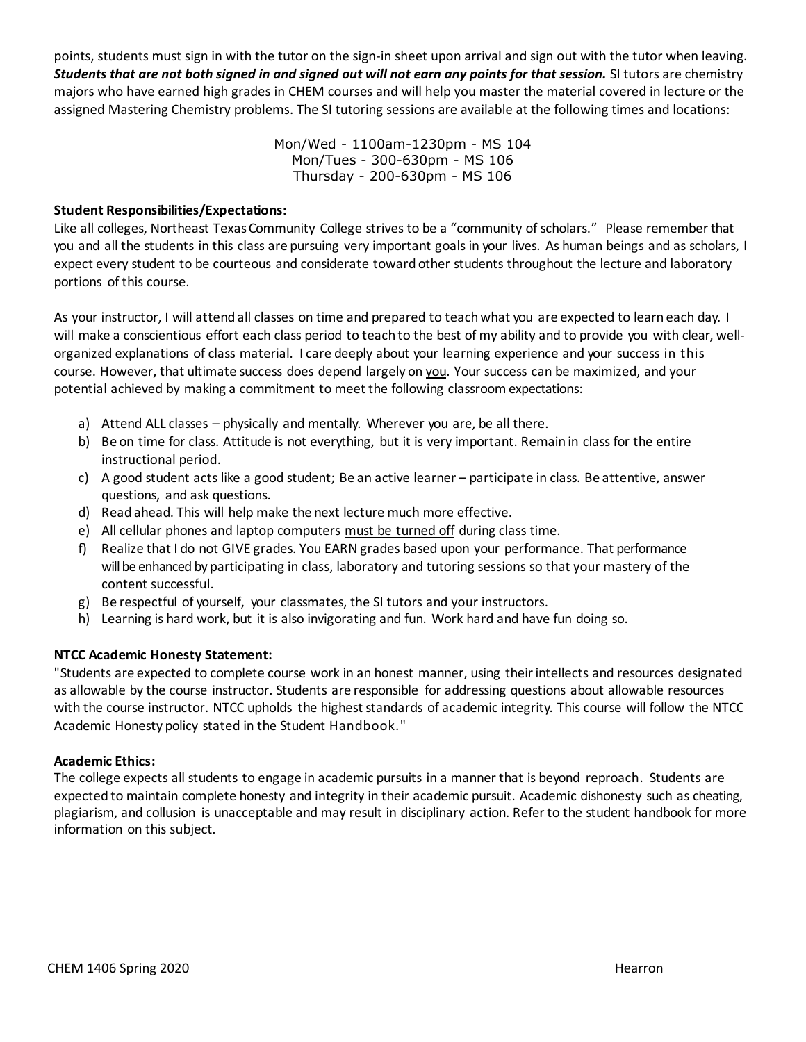points, students must sign in with the tutor on the sign-in sheet upon arrival and sign out with the tutor when leaving. *Students that are not both signed in and signed out will not earn any points for that session.* SI tutors are chemistry majors who have earned high grades in CHEM courses and will help you master the material covered in lecture or the assigned Mastering Chemistry problems. The SI tutoring sessions are available at the following times and locations:

> Mon/Wed - 1100am-1230pm - MS 104 Mon/Tues - 300-630pm - MS 106 Thursday - 200-630pm - MS 106

### **Student Responsibilities/Expectations:**

Like all colleges, Northeast TexasCommunity College strives to be a "community of scholars." Please remember that you and all the students in this class are pursuing very important goals in your lives. As human beings and as scholars, I expect every student to be courteous and considerate toward other students throughout the lecture and laboratory portions of this course.

As your instructor, I will attend all classes on time and prepared to teachwhat you are expected to learn each day. I will make a conscientious effort each class period to teach to the best of my ability and to provide you with clear, wellorganized explanations of class material. I care deeply about your learning experience and your success in this course. However, that ultimate success does depend largely on you. Your success can be maximized, and your potential achieved by making a commitment to meet the following classroom expectations:

- a) Attend ALL classes physically and mentally. Wherever you are, be all there.
- b) Be on time for class. Attitude is not everything, but it is very important. Remain in class for the entire instructional period.
- c) A good student acts like a good student; Be an active learner participate in class. Be attentive, answer questions, and ask questions.
- d) Read ahead. This will help make the next lecture much more effective.
- e) All cellular phones and laptop computers must be turned off during class time.
- f) Realize that I do not GIVE grades. You EARN grades based upon your performance. That performance will be enhanced by participating in class, laboratory and tutoring sessions so that your mastery of the content successful.
- g) Be respectful of yourself, your classmates, the SI tutors and your instructors.
- h) Learning is hard work, but it is also invigorating and fun. Work hard and have fun doing so.

#### **NTCC Academic Honesty Statement:**

"Students are expected to complete course work in an honest manner, using their intellects and resources designated as allowable by the course instructor. Students are responsible for addressing questions about allowable resources with the course instructor. NTCC upholds the highest standards of academic integrity. This course will follow the NTCC Academic Honesty policy stated in the Student Handbook."

#### **Academic Ethics:**

The college expects all students to engage in academic pursuits in a manner that is beyond reproach. Students are expected to maintain complete honesty and integrity in their academic pursuit. Academic dishonesty such as cheating, plagiarism, and collusion is unacceptable and may result in disciplinary action. Referto the student handbook for more information on this subject.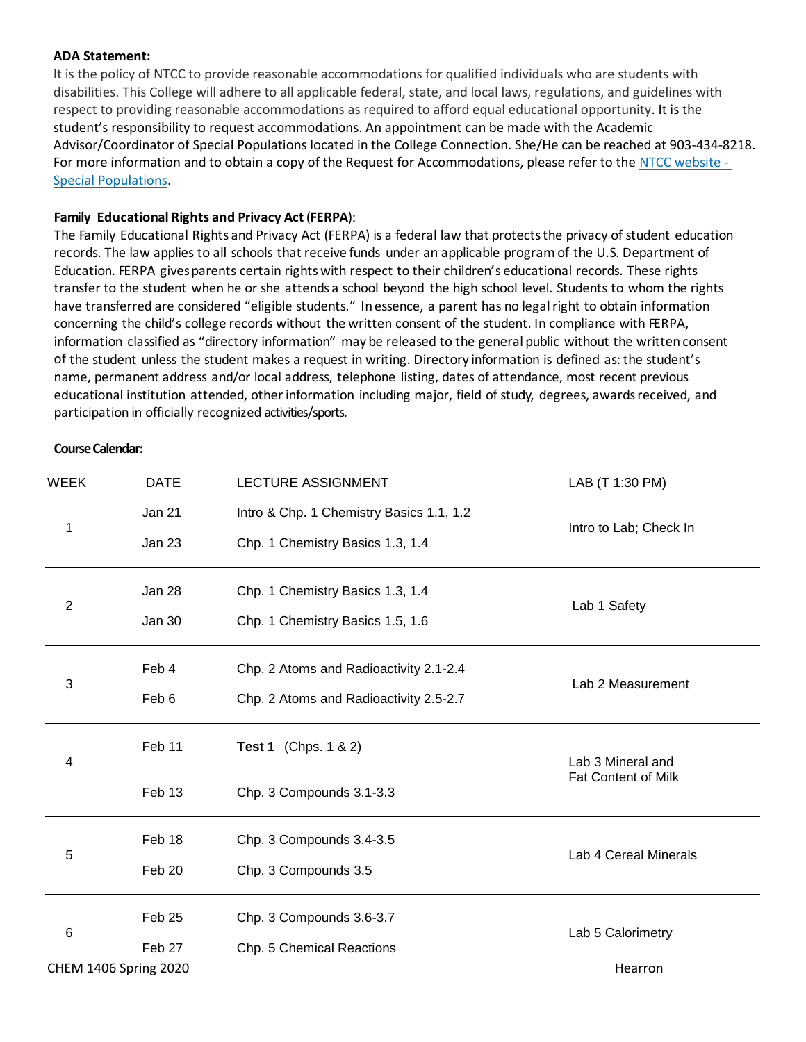#### **ADA Statement:**

It is the policy of NTCC to provide reasonable accommodations for qualified individuals who are students with disabilities. This College will adhere to all applicable federal, state, and local laws, regulations, and guidelines with respect to providing reasonable accommodations as required to afford equal educational opportunity. It is the student's responsibility to request accommodations. An appointment can be made with the Academic Advisor/Coordinator of Special Populations located in the College Connection. She/He can be reached at 903-434-8218. For more information and to obtain a copy of the Request for Accommodations, please refer to th[e NTCC website -](http://www.ntcc.edu/index.php?module=Pagesetter&func=viewpub&tid=111&pid=1) [Special Populations.](http://www.ntcc.edu/index.php?module=Pagesetter&func=viewpub&tid=111&pid=1)

### **Family Educational Rights and Privacy Act**(**FERPA**):

The Family Educational Rights and Privacy Act (FERPA) is a federal law that protectsthe privacy of student education records. The law applies to all schools that receive funds under an applicable program of the U.S. Department of Education. FERPA givesparents certain rightswith respect to their children's educational records. These rights transfer to the student when he or she attends a school beyond the high school level. Students to whom the rights have transferred are considered "eligible students." Inessence, a parent has no legalright to obtain information concerning the child's college records without the written consent of the student. In compliance with FERPA, information classified as "directory information" may be released to the general public without the written consent of the student unless the student makes a request in writing. Directory information is defined as: the student's name, permanent address and/or local address, telephone listing, dates of attendance, most recent previous educational institution attended, otherinformation including major, field of study, degrees, awardsreceived, and participation in officially recognized activities/sports.

#### **Course Calendar:**

| <b>WEEK</b>                  | <b>DATE</b><br>LECTURE ASSIGNMENT |                                          | LAB (T 1:30 PM)            |  |
|------------------------------|-----------------------------------|------------------------------------------|----------------------------|--|
| 1                            | Jan 21                            | Intro & Chp. 1 Chemistry Basics 1.1, 1.2 | Intro to Lab; Check In     |  |
|                              | Jan 23                            | Chp. 1 Chemistry Basics 1.3, 1.4         |                            |  |
| $\overline{2}$               | Jan 28                            | Chp. 1 Chemistry Basics 1.3, 1.4         | Lab 1 Safety               |  |
|                              | Jan 30                            | Chp. 1 Chemistry Basics 1.5, 1.6         |                            |  |
| 3                            | Feb 4                             | Chp. 2 Atoms and Radioactivity 2.1-2.4   | Lab 2 Measurement          |  |
|                              | Feb 6                             | Chp. 2 Atoms and Radioactivity 2.5-2.7   |                            |  |
| 4                            | Feb 11                            | <b>Test 1</b> (Chps. 1 & 2)              | Lab 3 Mineral and          |  |
|                              | Feb 13                            | Chp. 3 Compounds 3.1-3.3                 | <b>Fat Content of Milk</b> |  |
| 5                            | Feb 18                            | Chp. 3 Compounds 3.4-3.5                 | Lab 4 Cereal Minerals      |  |
|                              | Feb 20                            | Chp. 3 Compounds 3.5                     |                            |  |
| 6                            | Feb <sub>25</sub>                 | Chp. 3 Compounds 3.6-3.7                 | Lab 5 Calorimetry          |  |
|                              | Feb 27                            | Chp. 5 Chemical Reactions                |                            |  |
| <b>CHEM 1406 Spring 2020</b> |                                   |                                          | Hearron                    |  |